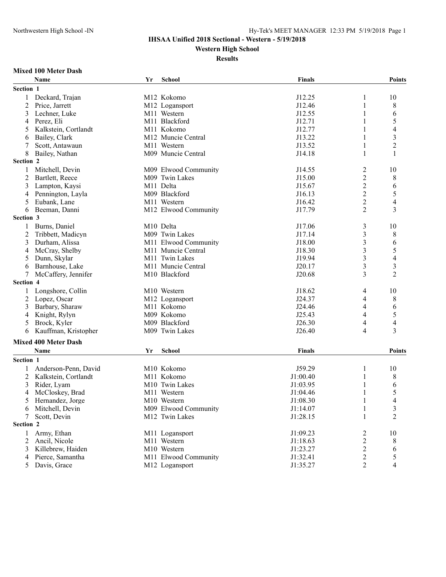## **IHSAA Unified 2018 Sectional - Western - 5/19/2018**

**Western High School**

#### **Results**

#### **Mixed 100 Meter Dash**

|           | Name                        | Yr | <b>School</b>              | <b>Finals</b> |                         | <b>Points</b>            |
|-----------|-----------------------------|----|----------------------------|---------------|-------------------------|--------------------------|
| Section 1 |                             |    |                            |               |                         |                          |
| 1         | Deckard, Trajan             |    | M12 Kokomo                 | J12.25        | 1                       | 10                       |
| 2         | Price, Jarrett              |    | M12 Logansport             | J12.46        | 1                       | 8                        |
| 3         | Lechner, Luke               |    | M11 Western                | J12.55        |                         | 6                        |
| 4         | Perez, Eli                  |    | M <sub>11</sub> Blackford  | J12.71        |                         | 5                        |
| 5         | Kalkstein, Cortlandt        |    | M11 Kokomo                 | J12.77        |                         | $\overline{4}$           |
| 6         | Bailey, Clark               |    | M12 Muncie Central         | J13.22        |                         | $\overline{\mathbf{3}}$  |
| 7         | Scott, Antawaun             |    | M11 Western                | J13.52        | 1                       | $\overline{2}$           |
| 8         | Bailey, Nathan              |    | M09 Muncie Central         | J14.18        | 1                       | 1                        |
| Section 2 |                             |    |                            |               |                         |                          |
| 1         | Mitchell, Devin             |    | M09 Elwood Community       | J14.55        | 2                       | 10                       |
| 2         | Bartlett, Reece             |    | M09 Twin Lakes             | J15.00        | $\overline{c}$          | 8                        |
| 3         | Lampton, Kaysi              |    | M11 Delta                  | J15.67        | $\overline{c}$          | 6                        |
| 4         | Pennington, Layla           |    | M09 Blackford              | J16.13        | $\overline{c}$          | 5                        |
| 5         | Eubank, Lane                |    | M11 Western                | J16.42        | $\overline{c}$          | $\overline{4}$           |
| 6         | Beeman, Danni               |    | M12 Elwood Community       | J17.79        | 2                       | 3                        |
| Section 3 |                             |    |                            |               |                         |                          |
| 1         | Burns, Daniel               |    | M <sub>10</sub> Delta      | J17.06        | 3                       | 10                       |
| 2         | Tribbett, Madicyn           |    | M09 Twin Lakes             | J17.14        | 3                       | 8                        |
| 3         | Durham, Alissa              |    | M11 Elwood Community       | J18.00        | $\overline{\mathbf{3}}$ | 6                        |
| 4         | McCray, Shelby              |    | M11 Muncie Central         | J18.30        | 3                       | 5                        |
| 5         | Dunn, Skylar                |    | M <sub>11</sub> Twin Lakes | J19.94        | 3                       | $\overline{4}$           |
| 6         | Barnhouse, Lake             |    | M11 Muncie Central         | J20.17        | 3                       | 3                        |
| 7         | McCaffery, Jennifer         |    | M10 Blackford              | J20.68        | 3                       | $\overline{2}$           |
| Section 4 |                             |    |                            |               |                         |                          |
| 1         | Longshore, Collin           |    | M10 Western                | J18.62        | 4                       | 10                       |
| 2         | Lopez, Oscar                |    | M12 Logansport             | J24.37        | 4                       | 8                        |
| 3         | Barbary, Sharaw             |    | M11 Kokomo                 | J24.46        | 4                       | 6                        |
| 4         | Knight, Rylyn               |    | M09 Kokomo                 | J25.43        | 4                       | 5                        |
| 5         | Brock, Kyler                |    | M09 Blackford              | J26.30        | 4                       | $\overline{4}$           |
| 6         | Kauffman, Kristopher        |    | M09 Twin Lakes             | J26.40        | 4                       | 3                        |
|           | <b>Mixed 400 Meter Dash</b> |    |                            |               |                         |                          |
|           | Name                        | Yr | School                     | <b>Finals</b> |                         | <b>Points</b>            |
| Section 1 |                             |    |                            |               |                         |                          |
|           |                             |    |                            |               |                         |                          |
|           | Anderson-Penn, David        |    | M10 Kokomo                 | J59.29        | 1                       | 10                       |
| 2         | Kalkstein, Cortlandt        |    | M11 Kokomo                 | J1:00.40      |                         | 8                        |
| 3         | Rider, Lyam                 |    | M10 Twin Lakes             | J1:03.95      |                         | 6                        |
| 4         | McCloskey, Brad             |    | M11 Western                | J1:04.46      |                         | 5<br>$\overline{4}$      |
| 5         | Hernandez, Jorge            |    | M10 Western                | J1:08.30      |                         |                          |
|           | Mitchell, Devin             |    | M09 Elwood Community       | J1:14.07      | 1                       | 3                        |
|           | Scott, Devin                |    | M12 Twin Lakes             | J1:28.15      | 1                       | $\overline{c}$           |
| Section 2 |                             |    |                            |               |                         |                          |
| 1         | Army, Ethan                 |    | M11 Logansport             | J1:09.23      | $\overline{\mathbf{c}}$ | 10                       |
| 2         | Ancil, Nicole               |    | M11 Western                | J1:18.63      | $\overline{c}$          | 8                        |
| 3         | Killebrew, Haiden           |    | M10 Western                | J1:23.27      | $\overline{\mathbf{c}}$ | 6                        |
| 4         | Pierce, Samantha            |    | M11 Elwood Community       | J1:32.41      | 2                       | 5                        |
|           | 5 Davis, Grace              |    | M12 Logansport             | J1:35.27      | $\overline{c}$          | $\overline{\mathcal{L}}$ |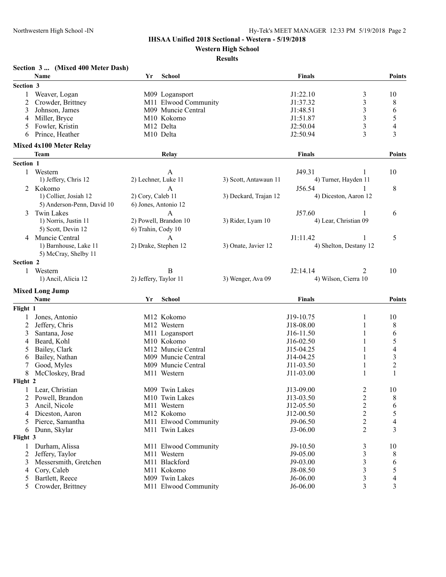# **IHSAA Unified 2018 Sectional - Western - 5/19/2018**

**Western High School**

#### **Results**

# **Section 3 ... (Mixed 400 Meter Dash)**

|               | Name                           | Yr                    | <b>School</b>         |                       | <b>Finals</b> |                              | <b>Points</b>            |
|---------------|--------------------------------|-----------------------|-----------------------|-----------------------|---------------|------------------------------|--------------------------|
| Section 3     |                                |                       |                       |                       |               |                              |                          |
|               | Weaver, Logan                  |                       |                       |                       | J1:22.10      |                              | 10                       |
|               |                                |                       | M09 Logansport        |                       |               | 3<br>$\overline{\mathbf{3}}$ |                          |
| 2             | Crowder, Brittney              |                       | M11 Elwood Community  |                       | J1:37.32      |                              | 8                        |
| 3             | Johnson, James                 |                       | M09 Muncie Central    |                       | J1:48.51      | $\mathfrak{Z}$               | 6                        |
| 4             | Miller, Bryce                  |                       | M10 Kokomo            |                       | J1:51.87      | $\mathfrak{Z}$               | 5                        |
| 5             | Fowler, Kristin                |                       | M12 Delta             |                       | J2:50.04      | $\mathfrak{Z}$               | $\overline{\mathcal{A}}$ |
| 6             | Prince, Heather                |                       | M <sub>10</sub> Delta |                       | J2:50.94      | $\overline{3}$               | 3                        |
|               | <b>Mixed 4x100 Meter Relay</b> |                       |                       |                       |               |                              |                          |
|               | <b>Team</b>                    |                       | Relay                 |                       | Finals        |                              | <b>Points</b>            |
| Section 1     |                                |                       |                       |                       |               |                              |                          |
|               | 1 Western                      |                       | A                     |                       | J49.31        | 1                            | 10                       |
|               | 1) Jeffery, Chris 12           | 2) Lechner, Luke 11   |                       | 3) Scott, Antawaun 11 |               | 4) Turner, Hayden 11         |                          |
|               | Kokomo                         |                       | $\mathbf{A}$          |                       | J56.54        |                              | 8                        |
| 2             | 1) Collier, Josiah 12          | 2) Cory, Caleb 11     |                       | 3) Deckard, Trajan 12 |               | 4) Diceston, Aaron 12        |                          |
|               |                                |                       |                       |                       |               |                              |                          |
|               | 5) Anderson-Penn, David 10     |                       | 6) Jones, Antonio 12  |                       |               |                              |                          |
| 3             | <b>Twin Lakes</b>              |                       | A                     |                       | J57.60        |                              | 6                        |
|               | 1) Norris, Justin 11           |                       | 2) Powell, Brandon 10 | 3) Rider, Lyam 10     |               | 4) Lear, Christian 09        |                          |
|               | 5) Scott, Devin 12             | 6) Trahin, Cody 10    |                       |                       |               |                              |                          |
| 4             | Muncie Central                 |                       | A                     |                       | J1:11.42      |                              | 5                        |
|               | 1) Barnhouse, Lake 11          |                       | 2) Drake, Stephen 12  | 3) Onate, Javier 12   |               | 4) Shelton, Destany 12       |                          |
|               | 5) McCray, Shelby 11           |                       |                       |                       |               |                              |                          |
| Section 2     |                                |                       |                       |                       |               |                              |                          |
| $\mathbf{1}$  | Western                        |                       | B                     |                       | J2:14.14      | 2                            | 10                       |
|               | 1) Ancil, Alicia 12            | 2) Jeffery, Taylor 11 |                       | 3) Wenger, Ava 09     |               | 4) Wilson, Cierra 10         |                          |
|               |                                |                       |                       |                       |               |                              |                          |
|               | <b>Mixed Long Jump</b>         |                       |                       |                       |               |                              |                          |
|               | Name                           | Yr                    | <b>School</b>         |                       | <b>Finals</b> |                              | Points                   |
| Flight 1      |                                |                       |                       |                       |               |                              |                          |
|               | Jones, Antonio                 |                       | M12 Kokomo            |                       | J19-10.75     | 1                            | 10                       |
| 2             | Jeffery, Chris                 |                       | M12 Western           |                       | J18-08.00     | 1                            | 8                        |
| 3             | Santana, Jose                  |                       | M11 Logansport        |                       | J16-11.50     | 1                            | 6                        |
| 4             | Beard, Kohl                    |                       | M10 Kokomo            |                       | J16-02.50     | 1                            | 5                        |
| 5             | Bailey, Clark                  |                       | M12 Muncie Central    |                       | J15-04.25     | 1                            | $\overline{\mathcal{A}}$ |
| 6             | Bailey, Nathan                 |                       | M09 Muncie Central    |                       | J14-04.25     |                              | 3                        |
|               | Good, Myles                    |                       | M09 Muncie Central    |                       | $J11-03.50$   | 1                            | $\overline{\mathbf{c}}$  |
| 8             | McCloskey, Brad                |                       | M11 Western           |                       | J11-03.00     | 1                            |                          |
| Flight 2      |                                |                       |                       |                       |               |                              |                          |
| 1             | Lear, Christian                |                       | M09 Twin Lakes        |                       | J13-09.00     | 2                            | 10                       |
|               | 2 Powell, Brandon              |                       | M10 Twin Lakes        |                       | J13-03.50     | $\overline{c}$               | 8                        |
| 3             | Ancil, Nicole                  |                       | M11 Western           |                       | J12-05.50     | 2                            | 6                        |
| 4             | Diceston, Aaron                |                       | M12 Kokomo            |                       | $J12-00.50$   | 2                            | 5                        |
| 5             | Pierce, Samantha               |                       | M11 Elwood Community  |                       | $J9-06.50$    | 2                            | 4                        |
|               | Dunn, Skylar                   |                       | M11 Twin Lakes        |                       | J3-06.00      | 2                            | 3                        |
| 6<br>Flight 3 |                                |                       |                       |                       |               |                              |                          |
|               |                                |                       |                       |                       |               |                              |                          |
| 1             | Durham, Alissa                 |                       | M11 Elwood Community  |                       | $J9-10.50$    | 3                            | 10                       |
| 2             | Jeffery, Taylor                |                       | M11 Western           |                       | J9-05.00      | 3                            | 8                        |
| 3             | Messersmith, Gretchen          |                       | M11 Blackford         |                       | J9-03.00      | 3                            | 6                        |
| 4             | Cory, Caleb                    |                       | M11 Kokomo            |                       | J8-08.50      | 3                            | 5                        |
| 5             | Bartlett, Reece                |                       | M09 Twin Lakes        |                       | J6-06.00      | 3                            | 4                        |
| 5             | Crowder, Brittney              |                       | M11 Elwood Community  |                       | J6-06.00      | 3                            | 3                        |